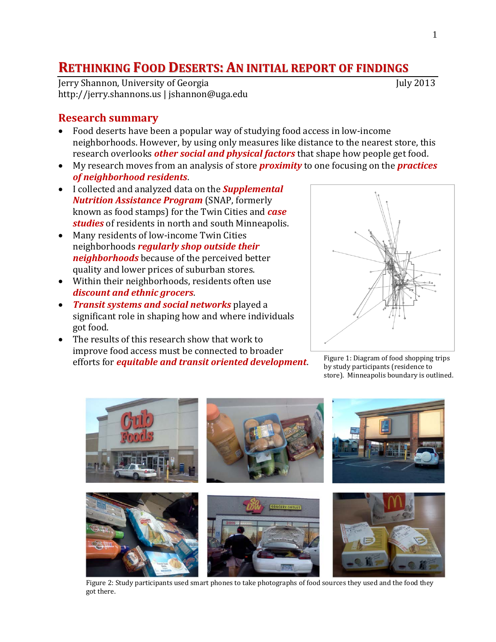# **RETHINKING FOOD DESERTS: AN INITIAL REPORT OF FINDINGS**

Jerry Shannon, University of Georgia July 2013 http://jerry.shannons.us | jshannon@uga.edu

#### **Research summary**

- Food deserts have been a popular way of studying food access in low-income neighborhoods. However, by using only measures like distance to the nearest store, this research overlooks *other social and physical factors* that shape how people get food.
- My research moves from an analysis of store *proximity* to one focusing on the *practices of neighborhood residents*.
- I collected and analyzed data on the *Supplemental Nutrition Assistance Program* (SNAP, formerly known as food stamps) for the Twin Cities and *case studies* of residents in north and south Minneapolis.
- Many residents of low-income Twin Cities neighborhoods *regularly shop outside their neighborhoods* because of the perceived better quality and lower prices of suburban stores.
- Within their neighborhoods, residents often use *discount and ethnic grocers*.
- *Transit systems and social networks* played a significant role in shaping how and where individuals got food.
- The results of this research show that work to improve food access must be connected to broader efforts for *equitable and transit oriented development*. Figure 1: Diagram of food shopping trips



by study participants (residence to store). Minneapolis boundary is outlined.



Figure 2: Study participants used smart phones to take photographs of food sources they used and the food they got there.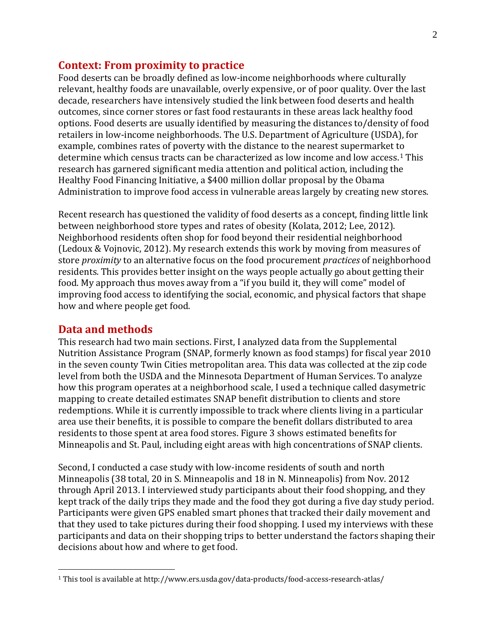#### **Context: From proximity to practice**

Food deserts can be broadly defined as low-income neighborhoods where culturally relevant, healthy foods are unavailable, overly expensive, or of poor quality. Over the last decade, researchers have intensively studied the link between food deserts and health outcomes, since corner stores or fast food restaurants in these areas lack healthy food options. Food deserts are usually identified by measuring the distances to/density of food retailers in low-income neighborhoods. The U.S. Department of Agriculture (USDA), for example, combines rates of poverty with the distance to the nearest supermarket to determine which census tracts can be characterized as low income and low access.[1](#page-5-0) This research has garnered significant media attention and political action, including the Healthy Food Financing Initiative, a \$400 million dollar proposal by the Obama Administration to improve food access in vulnerable areas largely by creating new stores.

Recent research has questioned the validity of food deserts as a concept, finding little link between neighborhood store types and rates of obesity (Kolata, 2012; Lee, 2012). Neighborhood residents often shop for food beyond their residential neighborhood (Ledoux & Vojnovic, 2012). My research extends this work by moving from measures of store *proximity* to an alternative focus on the food procurement *practices* of neighborhood residents. This provides better insight on the ways people actually go about getting their food. My approach thus moves away from a "if you build it, they will come" model of improving food access to identifying the social, economic, and physical factors that shape how and where people get food.

#### **Data and methods**

 $\overline{a}$ 

This research had two main sections. First, I analyzed data from the Supplemental Nutrition Assistance Program (SNAP, formerly known as food stamps) for fiscal year 2010 in the seven county Twin Cities metropolitan area. This data was collected at the zip code level from both the USDA and the Minnesota Department of Human Services. To analyze how this program operates at a neighborhood scale, I used a technique called dasymetric mapping to create detailed estimates SNAP benefit distribution to clients and store redemptions. While it is currently impossible to track where clients living in a particular area use their benefits, it is possible to compare the benefit dollars distributed to area residents to those spent at area food stores. Figure 3 shows estimated benefits for Minneapolis and St. Paul, including eight areas with high concentrations of SNAP clients.

Second, I conducted a case study with low-income residents of south and north Minneapolis (38 total, 20 in S. Minneapolis and 18 in N. Minneapolis) from Nov. 2012 through April 2013. I interviewed study participants about their food shopping, and they kept track of the daily trips they made and the food they got during a five day study period. Participants were given GPS enabled smart phones that tracked their daily movement and that they used to take pictures during their food shopping. I used my interviews with these participants and data on their shopping trips to better understand the factors shaping their decisions about how and where to get food.

<sup>1</sup> This tool is available at http://www.ers.usda.gov/data-products/food-access-research-atlas/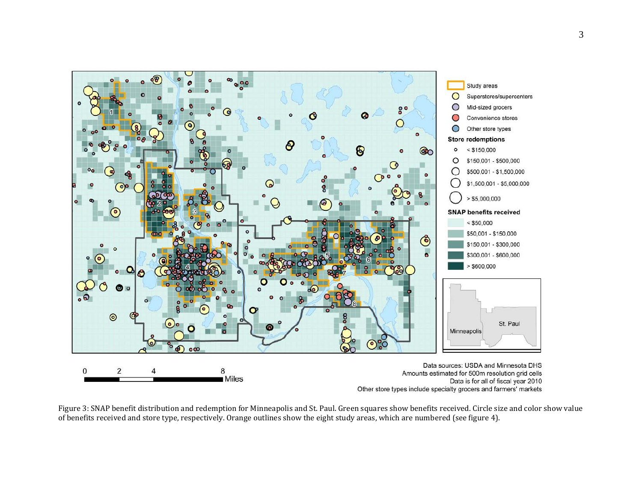

Figure 3: SNAP benefit distribution and redemption for Minneapolis and St. Paul. Green squares show benefits received. Circle size and color show value of benefits received and store type, respectively. Orange outlines show the eight study areas, which are numbered (see figure 4).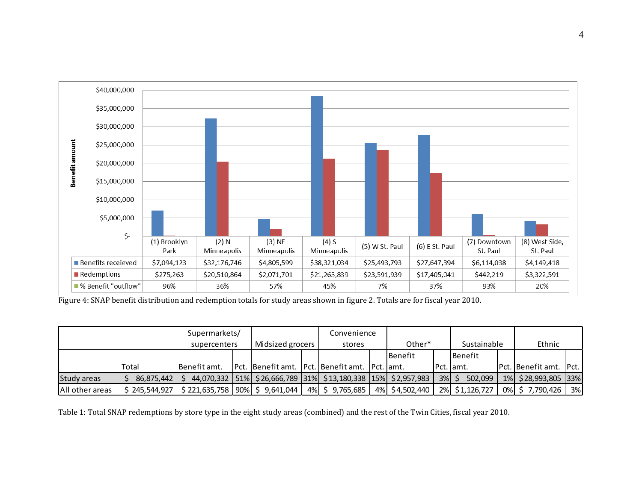

Figure 4: SNAP benefit distribution and redemption totals for study areas shown in figure 2. Totals are for fiscal year 2010.

|                         |               | Supermarkets/                    |  |                  |  | Convenience                                                              |  |                |         |                |  |                          |    |
|-------------------------|---------------|----------------------------------|--|------------------|--|--------------------------------------------------------------------------|--|----------------|---------|----------------|--|--------------------------|----|
|                         |               | supercenters                     |  | Midsized grocers |  | stores                                                                   |  | Other*         |         | Sustainable    |  | Ethnic                   |    |
|                         |               |                                  |  |                  |  |                                                                          |  | l Benefit      |         | l Benefit      |  |                          |    |
|                         | Total         | Benefit amt.                     |  |                  |  | Pct.   Benefit amt.   Pct.   Benefit amt.   Pct.   amt.                  |  |                |         | IPct. lamt.    |  | Pct.  Benefit amt.  Pct. |    |
| Study areas             | 86,875,442    |                                  |  |                  |  | 44,070,332   51%   \$26,666,789   31%   \$13,180,338   15%   \$2,957,983 |  |                | $3%$ \$ | 502,099        |  | 1%   \$28,993,805   33%  |    |
| <b>IAII</b> other areas | \$245,544,927 | $$221,635,758  90\%  $9,641,044$ |  |                  |  | 4% \$ 9,765,685                                                          |  | 4% \$4,502,440 |         | 2% \$1,126,727 |  | 0% \$7,790,426           | 3% |

Table 1: Total SNAP redemptions by store type in the eight study areas (combined) and the rest of the Twin Cities, fiscal year 2010.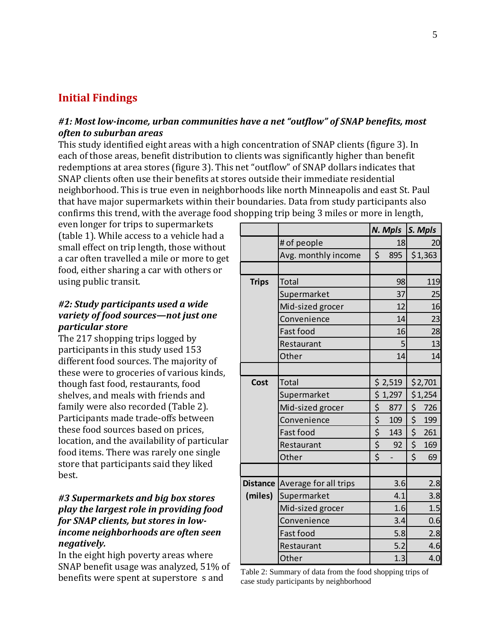## **Initial Findings**

## *#1: Most low-income, urban communities have a net "outflow" of SNAP benefits, most often to suburban areas*

This study identified eight areas with a high concentration of SNAP clients (figure 3). In each of those areas, benefit distribution to clients was significantly higher than benefit redemptions at area stores (figure 3). This net "outflow" of SNAP dollars indicates that SNAP clients often use their benefits at stores outside their immediate residential neighborhood. This is true even in neighborhoods like north Minneapolis and east St. Paul that have major supermarkets within their boundaries. Data from study participants also confirms this trend, with the average food shopping trip being 3 miles or more in length,

even longer for trips to supermarkets (table 1). While access to a vehicle had a small effect on trip length, those without a car often travelled a mile or more to get food, either sharing a car with others or using public transit.

#### *#2: Study participants used a wide variety of food sources—not just one particular store*

The 217 shopping trips logged by participants in this study used 153 different food sources. The majority of these were to groceries of various kinds, though fast food, restaurants, food shelves, and meals with friends and family were also recorded (Table 2). Participants made trade-offs between these food sources based on prices, location, and the availability of particular food items. There was rarely one single store that participants said they liked best.

#### *#3 Supermarkets and big box stores play the largest role in providing food for SNAP clients, but stores in lowincome neighborhoods are often seen negatively.*

In the eight high poverty areas where SNAP benefit usage was analyzed, 51% of  $\frac{1}{2}$  benefits were spent at superstore s and  $\frac{1}{2}$  able 2: Summary of data from the food shopping trips of

|                 |                       |                                                       | N. Mpls S. Mpls |                                 |         |
|-----------------|-----------------------|-------------------------------------------------------|-----------------|---------------------------------|---------|
|                 | # of people           |                                                       | 18              |                                 | 20      |
|                 | Avg. monthly income   | \$                                                    | 895             |                                 | \$1,363 |
|                 |                       |                                                       |                 |                                 |         |
| <b>Trips</b>    | <b>Total</b>          |                                                       | 98              |                                 | 119     |
|                 | Supermarket           |                                                       | 37              |                                 | 25      |
|                 | Mid-sized grocer      |                                                       | 12              |                                 | 16      |
|                 | Convenience           |                                                       | 14              |                                 | 23      |
|                 | Fast food             |                                                       | 16              |                                 | 28      |
|                 | Restaurant            |                                                       | 5               |                                 | 13      |
|                 | Other                 |                                                       | 14              |                                 | 14      |
|                 |                       |                                                       |                 |                                 |         |
| Cost            | Total                 |                                                       | \$ 2,519        | \$2,701                         |         |
|                 | Supermarket           |                                                       | \$1,297         | \$1,254                         |         |
|                 | Mid-sized grocer      | \$                                                    | 877             | \$                              | 726     |
|                 | Convenience           | $\overline{\underline{\underline{\underline{\zeta}}}$ | 109             | \$                              | 199     |
|                 | Fast food             |                                                       | 143             | $\frac{1}{2}$                   | 261     |
|                 | Restaurant            | $rac{5}{5}$                                           | 92              | \$                              | 169     |
|                 | Other                 |                                                       |                 | $\overline{\boldsymbol{\zeta}}$ | 69      |
|                 |                       |                                                       |                 |                                 |         |
| <b>Distance</b> | Average for all trips |                                                       | 3.6             |                                 | 2.8     |
| (miles)         | Supermarket           |                                                       | 4.1             |                                 | 3.8     |
|                 | Mid-sized grocer      |                                                       | 1.6             |                                 | 1.5     |
|                 | Convenience           |                                                       | 3.4             |                                 | 0.6     |
|                 | Fast food             |                                                       | 5.8             |                                 | 2.8     |
|                 | Restaurant            |                                                       | 5.2             |                                 | 4.6     |
|                 | Other                 |                                                       | 1.3             |                                 | 4.0     |

case study participants by neighborhood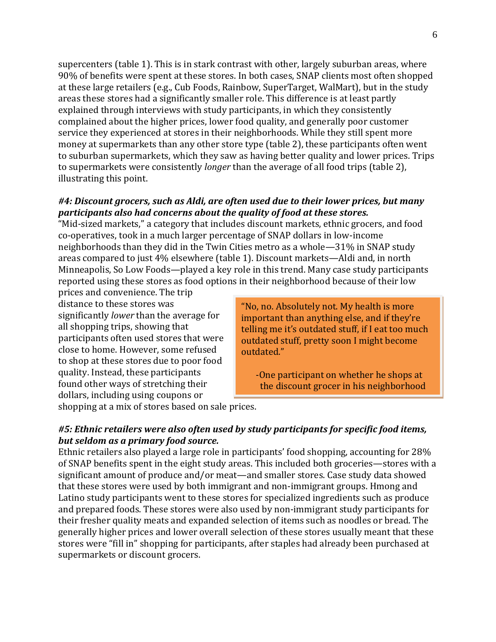supercenters (table 1). This is in stark contrast with other, largely suburban areas, where 90% of benefits were spent at these stores. In both cases, SNAP clients most often shopped at these large retailers (e.g., Cub Foods, Rainbow, SuperTarget, WalMart), but in the study areas these stores had a significantly smaller role. This difference is at least partly explained through interviews with study participants, in which they consistently complained about the higher prices, lower food quality, and generally poor customer service they experienced at stores in their neighborhoods. While they still spent more money at supermarkets than any other store type (table 2), these participants often went to suburban supermarkets, which they saw as having better quality and lower prices. Trips to supermarkets were consistently *longer* than the average of all food trips (table 2), illustrating this point.

#### *#4: Discount grocers, such as Aldi, are often used due to their lower prices, but many participants also had concerns about the quality of food at these stores.*

"Mid-sized markets," a category that includes discount markets, ethnic grocers, and food co-operatives, took in a much larger percentage of SNAP dollars in low-income neighborhoods than they did in the Twin Cities metro as a whole—31% in SNAP study areas compared to just 4% elsewhere (table 1). Discount markets—Aldi and, in north Minneapolis, So Low Foods—played a key role in this trend. Many case study participants reported using these stores as food options in their neighborhood because of their low

prices and convenience. The trip distance to these stores was significantly *lower* than the average for all shopping trips, showing that participants often used stores that were close to home. However, some refused to shop at these stores due to poor food quality. Instead, these participants found other ways of stretching their dollars, including using coupons or

"No, no. Absolutely not. My health is more important than anything else, and if they're telling me it's outdated stuff, if I eat too much outdated stuff, pretty soon I might become outdated."

-One participant on whether he shops at the discount grocer in his neighborhood

shopping at a mix of stores based on sale prices.

## *#5: Ethnic retailers were also often used by study participants for specific food items, but seldom as a primary food source.*

<span id="page-5-0"></span>Ethnic retailers also played a large role in participants' food shopping, accounting for 28% of SNAP benefits spent in the eight study areas. This included both groceries—stores with a significant amount of produce and/or meat—and smaller stores. Case study data showed that these stores were used by both immigrant and non-immigrant groups. Hmong and Latino study participants went to these stores for specialized ingredients such as produce and prepared foods. These stores were also used by non-immigrant study participants for their fresher quality meats and expanded selection of items such as noodles or bread. The generally higher prices and lower overall selection of these stores usually meant that these stores were "fill in" shopping for participants, after staples had already been purchased at supermarkets or discount grocers.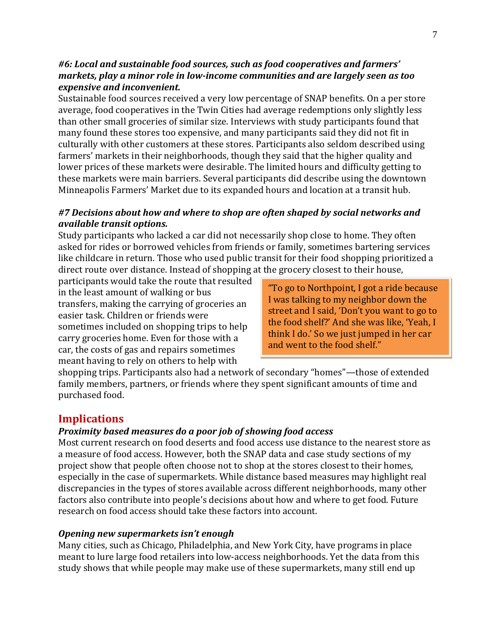#### *#6: Local and sustainable food sources, such as food cooperatives and farmers' markets, play a minor role in low-income communities and are largely seen as too expensive and inconvenient.*

Sustainable food sources received a very low percentage of SNAP benefits. On a per store average, food cooperatives in the Twin Cities had average redemptions only slightly less than other small groceries of similar size. Interviews with study participants found that many found these stores too expensive, and many participants said they did not fit in culturally with other customers at these stores. Participants also seldom described using farmers' markets in their neighborhoods, though they said that the higher quality and lower prices of these markets were desirable. The limited hours and difficulty getting to these markets were main barriers. Several participants did describe using the downtown Minneapolis Farmers' Market due to its expanded hours and location at a transit hub.

## *#7 Decisions about how and where to shop are often shaped by social networks and available transit options.*

Study participants who lacked a car did not necessarily shop close to home. They often asked for rides or borrowed vehicles from friends or family, sometimes bartering services like childcare in return. Those who used public transit for their food shopping prioritized a direct route over distance. Instead of shopping at the grocery closest to their house,

participants would take the route that resulted in the least amount of walking or bus transfers, making the carrying of groceries an easier task. Children or friends were sometimes included on shopping trips to help carry groceries home. Even for those with a car, the costs of gas and repairs sometimes meant having to rely on others to help with

"To go to Northpoint, I got a ride because I was talking to my neighbor down the street and I said, 'Don't you want to go to the food shelf?' And she was like, 'Yeah, I think I do.' So we just jumped in her car and went to the food shelf."

shopping trips. Participants also had a network of secondary "homes"—those of extended family members, partners, or friends where they spent significant amounts of time and purchased food.

# **Implications**

#### *Proximity based measures do a poor job of showing food access*

Most current research on food deserts and food access use distance to the nearest store as a measure of food access. However, both the SNAP data and case study sections of my project show that people often choose not to shop at the stores closest to their homes, especially in the case of supermarkets. While distance based measures may highlight real discrepancies in the types of stores available across different neighborhoods, many other factors also contribute into people's decisions about how and where to get food. Future research on food access should take these factors into account.

#### *Opening new supermarkets isn't enough*

Many cities, such as Chicago, Philadelphia, and New York City, have programs in place meant to lure large food retailers into low-access neighborhoods. Yet the data from this study shows that while people may make use of these supermarkets, many still end up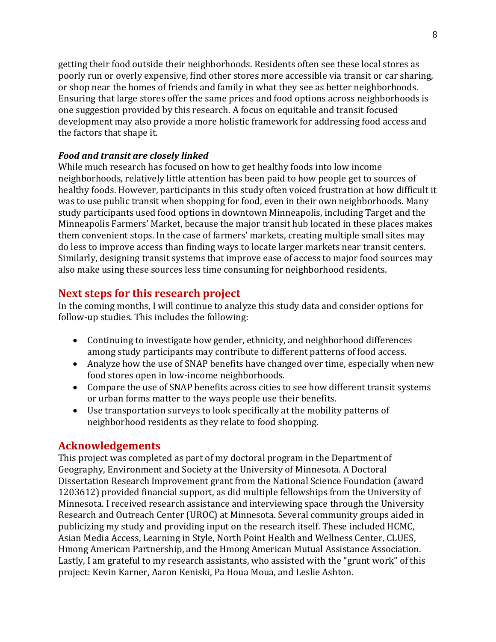getting their food outside their neighborhoods. Residents often see these local stores as poorly run or overly expensive, find other stores more accessible via transit or car sharing, or shop near the homes of friends and family in what they see as better neighborhoods. Ensuring that large stores offer the same prices and food options across neighborhoods is one suggestion provided by this research. A focus on equitable and transit focused development may also provide a more holistic framework for addressing food access and the factors that shape it.

## *Food and transit are closely linked*

While much research has focused on how to get healthy foods into low income neighborhoods, relatively little attention has been paid to how people get to sources of healthy foods. However, participants in this study often voiced frustration at how difficult it was to use public transit when shopping for food, even in their own neighborhoods. Many study participants used food options in downtown Minneapolis, including Target and the Minneapolis Farmers' Market, because the major transit hub located in these places makes them convenient stops. In the case of farmers' markets, creating multiple small sites may do less to improve access than finding ways to locate larger markets near transit centers. Similarly, designing transit systems that improve ease of access to major food sources may also make using these sources less time consuming for neighborhood residents.

# **Next steps for this research project**

In the coming months, I will continue to analyze this study data and consider options for follow-up studies. This includes the following:

- Continuing to investigate how gender, ethnicity, and neighborhood differences among study participants may contribute to different patterns of food access.
- Analyze how the use of SNAP benefits have changed over time, especially when new food stores open in low-income neighborhoods.
- Compare the use of SNAP benefits across cities to see how different transit systems or urban forms matter to the ways people use their benefits.
- Use transportation surveys to look specifically at the mobility patterns of neighborhood residents as they relate to food shopping.

# **Acknowledgements**

This project was completed as part of my doctoral program in the Department of Geography, Environment and Society at the University of Minnesota. A Doctoral Dissertation Research Improvement grant from the National Science Foundation (award 1203612) provided financial support, as did multiple fellowships from the University of Minnesota. I received research assistance and interviewing space through the University Research and Outreach Center (UROC) at Minnesota. Several community groups aided in publicizing my study and providing input on the research itself. These included HCMC, Asian Media Access, Learning in Style, North Point Health and Wellness Center, CLUES, Hmong American Partnership, and the Hmong American Mutual Assistance Association. Lastly, I am grateful to my research assistants, who assisted with the "grunt work" of this project: Kevin Karner, Aaron Keniski, Pa Houa Moua, and Leslie Ashton.